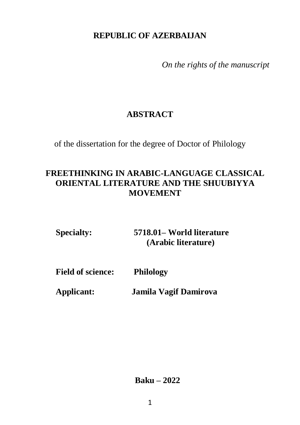### **REPUBLIC OF AZERBAIJAN**

*On the rights of the manuscript*

# **ABSTRACT**

of the dissertation for the degree of Doctor of Philology

## **FREETHINKING IN ARABIC-LANGUAGE CLASSICAL ORIENTAL LITERATURE AND THE SHUUBIYYA MOVEMENT**

| <b>Specialty:</b> | 5718.01– World literature |
|-------------------|---------------------------|
|                   | (Arabic literature)       |

**Field of science: Philology** 

**Applicant: Jamila Vagif Damirova**

**Baku – 2022**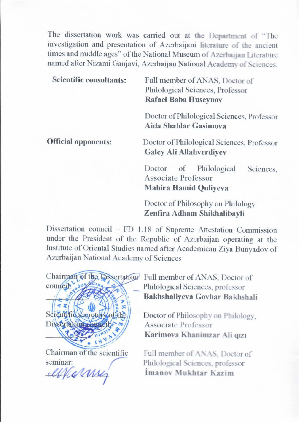The dissertation work was carried out at the Department of "The investigation and presentation of Azerbaijani literature of the ancient times and middle ages" of the National Museum of Azerbaijan Literature named after Nizami Ganjavi, Azerbaijan National Academy of Sciences.

| <b>Scientific consultants:</b> | Full member of ANAS, Doctor of<br>Philological Sciences, Professor<br><b>Rafael Baba Huseynov</b>       |
|--------------------------------|---------------------------------------------------------------------------------------------------------|
|                                | Doctor of Philological Sciences, Professor<br><b>Aida Shahlar Gasimova</b>                              |
| <b>Official opponents:</b>     | Doctor of Philological Sciences, Professor<br><b>Galey Ali Allahverdiyev</b>                            |
|                                | of<br>Philological<br>Doctor<br>Sciences.<br><b>Associate Professor</b><br><b>Mahira Hamid Quliyeva</b> |
|                                | Doctor of Philosophy on Philology                                                                       |

Dissertation council – FD 1.18 of Supreme Attestation Commission Institute of Oriental Studies named after Academican Ziya Bunyadov of Azerbaijan National Academy of Sciences



**\_\_\_\_\_\_\_\_\_\_\_\_\_\_\_ İmanov Mukhtar Kazim** 

 $\text{Counci}$   $\text{Counci}$   $\text{Counci}$ Bakhshaliyeva Govhar Bakhshali

Zenfira Adham Shikhalibayli **Zenfira Adham Shikhalibayli** 

Doctor of Philosophy on Philology. Karimova Khanimzar Ali qızı

Seminar:<br>
CHAIRMANAS, Philological Sciences, professor<br>
Imanov Mukhtar Kazim Imanov Mukhtar Kazim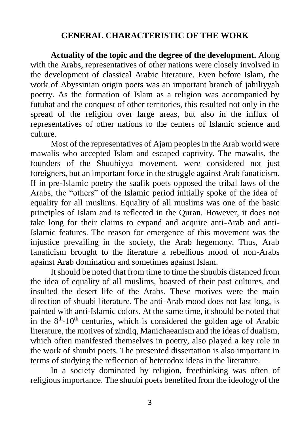### **GENERAL CHARACTERISTIC OF THE WORK**

**Actuality of the topic and the degree of the development.** Along with the Arabs, representatives of other nations were closely involved in the development of classical Arabic literature. Even before Islam, the work of Abyssinian origin poets was an important branch of jahiliyyah poetry. As the formation of Islam as a religion was accompanied by futuhat and the conquest of other territories, this resulted not only in the spread of the religion over large areas, but also in the influx of representatives of other nations to the centers of Islamic science and culture.

Most of the representatives of Ajam peoples in the Arab world were mawalis who accepted Islam and escaped captivity. The mawalis, the founders of the Shuubiyya movement, were considered not just foreigners, but an important force in the struggle against Arab fanaticism. If in pre-Islamic poetry the saalik poets opposed the tribal laws of the Arabs, the "others" of the Islamic period initially spoke of the idea of equality for all muslims. Equality of all muslims was one of the basic principles of Islam and is reflected in the Quran. However, it does not take long for their claims to expand and acquire anti-Arab and anti-Islamic features. The reason for emergence of this movement was the injustice prevailing in the society, the Arab hegemony. Thus, Arab fanaticism brought to the literature a rebellious mood of non-Arabs against Arab domination and sometimes against Islam.

It should be noted that from time to time the shuubis distanced from the idea of equality of all muslims, boasted of their past cultures, and insulted the desert life of the Arabs. These motives were the main direction of shuubi literature. The anti-Arab mood does not last long, is painted with anti-Islamic colors. At the same time, it should be noted that in the  $8<sup>th</sup> - 10<sup>th</sup>$  centuries, which is considered the golden age of Arabic literature, the motives of zindiq, Manichaeanism and the ideas of dualism, which often manifested themselves in poetry, also played a key role in the work of shuubi poets. The presented dissertation is also important in terms of studying the reflection of heterodox ideas in the literature.

In a society dominated by religion, freethinking was often of religious importance. The shuubi poets benefited from the ideology of the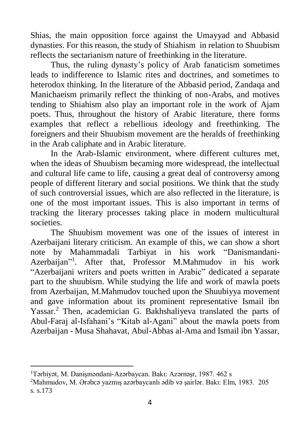Shias, the main opposition force against the Umayyad and Abbasid dynasties. For this reason, the study of Shiahism in relation to Shuubism reflects the sectarianism nature of freethinking in the literature.

Thus, the ruling dynasty's policy of Arab fanaticism sometimes leads to indifference to Islamic rites and doctrines, and sometimes to heterodox thinking. In the literature of the Abbasid period, Zandaqa and Manichaeism primarily reflect the thinking of non-Arabs, and motives tending to Shiahism also play an important role in the work of Ajam poets. Thus, throughout the history of Arabic literature, there forms examples that reflect a rebellious ideology and freethinking. The foreigners and their Shuubism movement are the heralds of freethinking in the Arab caliphate and in Arabic literature.

In the Arab-Islamic environment, where different cultures met, when the ideas of Shuubism becaming more widespread, the intellectual and cultural life came to life, causing a great deal of controversy among people of different literary and social positions. We think that the study of such controversial issues, which are also reflected in the literature, is one of the most important issues. This is also important in terms of tracking the literary processes taking place in modern multicultural societies.

The Shuubism movement was one of the issues of interest in Azerbaijani literary criticism. An example of this, we can show a short note by Mahammadali Tarbiyat in his work "Danismandani-Azerbaijan" 1 . After that, Professor M.Mahmudov in his work "Azerbaijani writers and poets written in Arabic" dedicated a separate part to the shuubism. While studying the life and work of mawla poets from Azerbaijan, M.Mahmudov touched upon the Shuubiyya movement and gave information about its prominent representative Ismail ibn Yassar.<sup>2</sup> Then, academician G. Bakhshaliyeva translated the parts of Abul-Faraj al-Isfahani's "Kitab al-Agani" about the mawla poets from Azerbaijan - Musa Shahavat, Abul-Abbas al-Ama and Ismail ibn Yassar,

 $\overline{a}$ <sup>1</sup>Tərbiyət, M. Danişməndani-Azərbaycan. Bakı: Azərnəşr, 1987. 462 s

<sup>2</sup>Mahmudov, M. Ərəbcə yazmış azərbaycanlı ədib və şairlər. Bakı: Elm, 1983. 205 s. s.173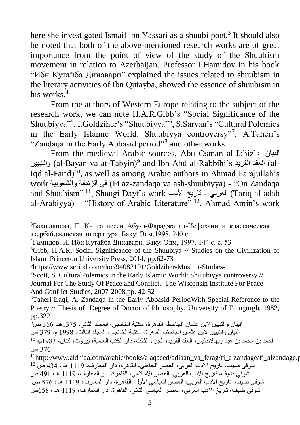here she investigated Ismail ibn Yassari as a shuubi poet. 3 It should also be noted that both of the above-mentioned research works are of great importance from the point of view of the study of the Shuubism movement in relation to Azerbaijan. Professor I.Hamidov in his book "Ибн Кутайба Динавари" explained the issues related to shuubism in the literary activities of Ibn Qutayba, showed the essence of shuubism in his works.<sup>4</sup>

From the authors of Western Europe relating to the subject of the research work, we can note H.A.R.Gibb's "Social Significance of the Shuubiyya"<sup>5</sup> , I.Goldziher's "Shuubiyya"<sup>6</sup> , S.Sarvan's "Cultural Polemics in the Early Islamic World: Shuubiyya controversy"<sup>7</sup> , A.Taheri's "Zandaqa in the Early Abbasid period"<sup>8</sup> and other works.

From the medieval Arabic sources, Abu Osman al-Jahiz's البيان والتبيين) al-Bayan va at-Tabyin)<sup>9</sup> and Ibn Abd al-Rabbihi's والتبيين Iqd al-Farid) 10 , as well as among Arabic authors in Ahmad Farajullah's work والشعوبية الزندقة في) Fi az-zandaqa va ash-shuubiyya) - "On Zandaqa and Shuubism" <sup>11</sup>, Shaugi Dayf's work األدب تاريخ - العربي) Tariq al-adab al-Arabiyya) – "History of Arabic Literature"  $^{12}$ , Ahmad Amin's work

<sup>3</sup>Бахшалиева, Г. Книга песен Абу-л-Фараджа ал-Исфахани и классическая азербайджанская литература. Баку: Элм,1998. 240 c.

<sup>4</sup>Гамидов, И. Ибн Кутайба Динавари. Баку: Элм, 1997. 144 c. c. 53

 ${}^5$ Gibb, H.A.R. Social Significance of the Shuubiya // Studies on the Civilization of Islam, Princeton University Press, 2014, pp.62-73

<sup>6</sup><https://www.scribd.com/doc/94082191/Goldziher-Muslim-Studies-1>

<sup>&</sup>lt;sup>7</sup>Scott, S. CulturalPolemics in the Early Islamic World: Shu'ubiyya controversy  $//$ Journal For The Study Of Peace and Conflict, The Wisconsin Institute For Peace And Conflict Studies, 2007-2008,pp. 42-52

<sup>8</sup>Taheri-Iraqi, A. Zandaqa in the Early Abbasid PeriodWith Special Reference to the Poetry // Thesis of Degree of Doctor of Philosophy, University of Edingurgh, 1982, pp.322

البيان والتبيين البن عثمان الجاحظ، القاهرة، مكتبة الخانجي، المجلد الثاني، 5631هـ، 633 ص<sup>9</sup> البيان والتبيين البن عثمان الجاحظ، القاهرة، مكتبة الخانجي، المجلد الثالث، 5991 م، 639 ص

أحمد بن محمد بن عبد ربهاألندليس، العقد الفريد، الجرء الثالث، دار الكتب العلمية، بيروت، لبنان، 5916م، <sup>10</sup> 633 ص

 $11$ [http://www.aldhiaa.com/arabic/books/alaqaeed/adiaan\\_va\\_ferag/fi\\_alzandage/fi\\_alzandage.pdf](http://www.aldhiaa.com/arabic/books/alaqaeed/adiaan_va_ferag/fi_alzandage/fi_alzandage.pdf) شوقي ضيف، تاريخ الادب العربي، العصر الْجاهلي، القاهرة، دار المعارف، 1119 هـ ، 434 ص <sup>12</sup> شوقي ضيف، تاريخ الادب العربي، العصر الاسلامي، القاهر ة، دار المعارف، 1119 هـ، 491 ص شوقي ضيفٌ، تاريخ الادب العربي، العصر العباسي الأول، القاهرة، دار المعارف، 1119 هـ ، 576 ص شوقي ضيف، تاريخ الادب العربي، العصر العباسي الثاني، القاهرة، دار المعارف، 1119 هـ ، 558ص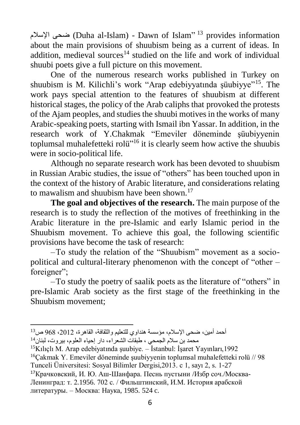ضحى الإسلام (Duha al-Islam) - Dawn of Islam"  $^{13}$  provides information about the main provisions of shuubism being as a current of ideas. In addition, medieval sources<sup>14</sup> studied on the life and work of individual shuubi poets give a full picture on this movement.

One of the numerous research works published in Turkey on shuubism is M. Kilichli's work "Arap edebiyyatında şüubiyye"<sup>15</sup>. The work pays special attention to the features of shuubism at different historical stages, the policy of the Arab caliphs that provoked the protests of the Ajam peoples, and studies the shuubi motives in the works of many Arabic-speaking poets, starting with Ismail ibn Yassar. In addition, in the research work of Y.Chakmak "Emeviler döneminde şüubiyyenin toplumsal muhalefetteki rolü"<sup>16</sup> it is clearly seem how active the shuubis were in socio-political life.

Although no separate research work has been devoted to shuubism in Russian Arabic studies, the issue of "others" has been touched upon in the context of the history of Arabic literature, and considerations relating to mawalism and shuubism have been shown.<sup>17</sup>

**The goal and objectives of the research.** The main purpose of the research is to study the reflection of the motives of freethinking in the Arabic literature in the pre-Islamic and early Islamic period in the Shuubism movement. To achieve this goal, the following scientific provisions have become the task of research:

–To study the relation of the "Shuubism" movement as a sociopolitical and cultural-literary phenomenon with the concept of "other – foreigner";

–To study the poetry of saalik poets as the literature of "others" in pre-Islamic Arab society as the first stage of the freethinking in the Shuubism movement;

 $\overline{a}$ أحمد أمين، ضحى الإسلام، مؤسسة هنداوي للتعليم والثقافة، القاهرة، 2012، 968 ص<sup>13</sup>

محمد بن سالم الجمحي ، طبقات الشعراء، دار إحياء العلوم، بيروت، لبنان<sup>14</sup>

<sup>&</sup>lt;sup>15</sup>Kılıclı M. Arap edebiyatında suubiye. – İstanbul: İsaret Yayınları, 1992

<sup>&</sup>lt;sup>16</sup>Cakmak Y. Emeviler döneminde suubiyyenin toplumsal muhalefetteki rolü // 98 Tunceli Üniversitesi: Sosyal Bilimler Dergisi,2013. c 1, sayı 2, s. 1-27

<sup>17</sup>Крачковский, И. Ю. Aш-Шанфара. Песнь пустыни /Избр соч./Москва-Ленинград: т. 2.1956. 702 с. / Фильштинский, И.М. История арабской литературы. – Москва: Наука, 1985. 524 c.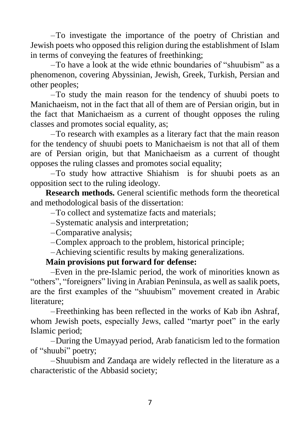–To investigate the importance of the poetry of Christian and Jewish poets who opposed this religion during the establishment of Islam in terms of conveying the features of freethinking;

–To have a look at the wide ethnic boundaries of "shuubism" as a phenomenon, covering Abyssinian, Jewish, Greek, Turkish, Persian and other peoples;

–To study the main reason for the tendency of shuubi poets to Manichaeism, not in the fact that all of them are of Persian origin, but in the fact that Manichaeism as a current of thought opposes the ruling classes and promotes social equality, as;

–To research with examples as a literary fact that the main reason for the tendency of shuubi poets to Manichaeism is not that all of them are of Persian origin, but that Manichaeism as a current of thought opposes the ruling classes and promotes social equality;

–To study how attractive Shiahism is for shuubi poets as an opposition sect to the ruling ideology.

**Research methods.** General scientific methods form the theoretical and methodological basis of the dissertation:

–To collect and systematize facts and materials;

–Systematic analysis and interpretation;

–Comparative analysis;

–Complex approach to the problem, historical principle;

–Achieving scientific results by making generalizations.

#### **Main provisions put forward for defense:**

–Even in the pre-Islamic period, the work of minorities known as "others", "foreigners" living in Arabian Peninsula, as well as saalik poets, are the first examples of the "shuubism" movement created in Arabic literature;

–Freethinking has been reflected in the works of Kab ibn Ashraf, whom Jewish poets, especially Jews, called "martyr poet" in the early Islamic period;

–During the Umayyad period, Arab fanaticism led to the formation of "shuubi" poetry;

–Shuubism and Zandaqa are widely reflected in the literature as a characteristic of the Abbasid society;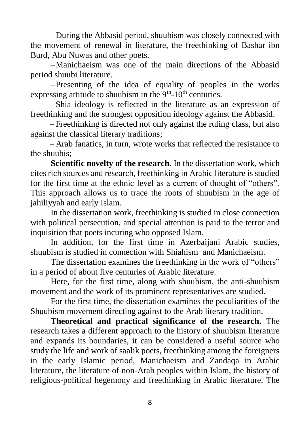–During the Abbasid period, shuubism was closely connected with the movement of renewal in literature, the freethinking of Bashar ibn Burd, Abu Nuwas and other poets.

–Manichaeism was one of the main directions of the Abbasid period shuubi literature.

–Presenting of the idea of equality of peoples in the works expressing attitude to shuubism in the  $9<sup>th</sup>$ -10<sup>th</sup> centuries.

– Shia ideology is reflected in the literature as an expression of freethinking and the strongest opposition ideology against the Abbasid.

– Freethinking is directed not only against the ruling class, but also against the classical literary traditions;

– Arab fanatics, in turn, wrote works that reflected the resistance to the shuubis;

**Scientific novelty of the research.** In the dissertation work, which cites rich sources and research, freethinking in Arabic literature is studied for the first time at the ethnic level as a current of thought of "others". This approach allows us to trace the roots of shuubism in the age of jahiliyyah and early Islam.

In the dissertation work, freethinking is studied in close connection with political persecution, and special attention is paid to the terror and inquisition that poets incuring who opposed Islam.

In addition, for the first time in Azerbaijani Arabic studies, shuubism is studied in connection with Shiahism and Manichaeism.

The dissertation examines the freethinking in the work of "others" in a period of about five centuries of Arabic literature.

Here, for the first time, along with shuubism, the anti-shuubism movement and the work of its prominent representatives are studied.

For the first time, the dissertation examines the peculiarities of the Shuubism movement directing against to the Arab literary tradition.

**Theoretical and practical significance of the research.** The research takes a different approach to the history of shuubism literature and expands its boundaries, it can be considered a useful source who study the life and work of saalik poets, freethinking among the foreigners in the early Islamic period, Manichaeism and Zandaqa in Arabic literature, the literature of non-Arab peoples within Islam, the history of religious-political hegemony and freethinking in Arabic literature. The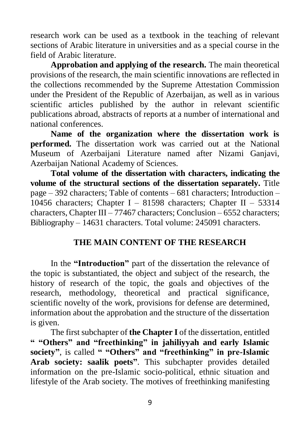research work can be used as a textbook in the teaching of relevant sections of Arabic literature in universities and as a special course in the field of Arabic literature.

**Approbation and applying of the research.** The main theoretical provisions of the research, the main scientific innovations are reflected in the collections recommended by the Supreme Attestation Commission under the President of the Republic of Azerbaijan, as well as in various scientific articles published by the author in relevant scientific publications abroad, abstracts of reports at a number of international and national conferences.

**Name of the organization where the dissertation work is performed.** The dissertation work was carried out at the National Museum of Azerbaijani Literature named after Nizami Ganjavi, Azerbaijan National Academy of Sciences.

**Total volume of the dissertation with characters, indicating the volume of the structural sections of the dissertation separately.** Title page – 392 characters; Table of contents – 681 characters; Introduction – 10456 characters; Chapter I – 81598 characters; Chapter II – 53314 characters, Chapter III – 77467 characters; Conclusion – 6552 characters; Bibliography – 14631 characters. Total volume: 245091 characters.

### **THE MAIN CONTENT OF THE RESEARCH**

In the **"Introduction"** part of the dissertation the relevance of the topic is substantiated, the object and subject of the research, the history of research of the topic, the goals and objectives of the research, methodology, theoretical and practical significance, scientific novelty of the work, provisions for defense are determined, information about the approbation and the structure of the dissertation is given.

The first subchapter of **the Chapter I** of the dissertation, entitled **" "Others" and "freethinking" in jahiliyyah and early Islamic society"**, is called **" "Others" and "freethinking" in pre-Islamic Arab society: saalik poets"**. This subchapter provides detailed information on the pre-Islamic socio-political, ethnic situation and lifestyle of the Arab society. The motives of freethinking manifesting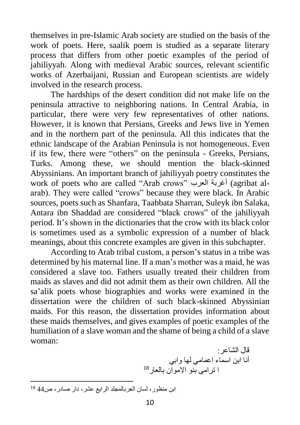themselves in pre-Islamic Arab society are studied on the basis of the work of poets. Here, saalik poem is studied as a separate literary process that differs from other poetic examples of the period of jahiliyyah. Along with medieval Arabic sources, relevant scientific works of Azerbaijani, Russian and European scientists are widely involved in the research process.

The hardships of the desert condition did not make life on the peninsula attractive to neighboring nations. In Central Arabia, in particular, there were very few representatives of other nations. However, it is known that Persians, Greeks and Jews live in Yemen and in the northern part of the peninsula. All this indicates that the ethnic landscape of the Arabian Peninsula is not homogeneous. Even if its few, there were "others" on the peninsula - Greeks, Persians, Turks. Among these, we should mention the black-skinned Abyssinians. An important branch of jahiliyyah poetry constitutes the work of poets who are called "Arab crows" العرب أغربة) agribat alarab). They were called "crows" because they were black. In Arabic sources, poets such as Shanfara, Taabbata Sharran, Suleyk ibn Salaka, Antara ibn Shaddad are considered "black crows" of the jahiliyyah period. It's shown in the dictionaries that the crow with its black color is sometimes used as a symbolic expression of a number of black meanings, about this concrete examples are given in this subchapter.

According to Arab tribal custom, a person's status in a tribe was determined by his maternal line. If a man's mother was a maid, he was considered a slave too. Fathers usually treated their children from maids as slaves and did not admit them as their own children. All the sa'alik poets whose biographies and works were examined in the dissertation were the children of such black-skinned Abyssinian maids. For this reason, the dissertation provides information about these maids themselves, and gives examples of poetic examples of the humiliation of a slave woman and the shame of being a child of a slave woman:

قال الشاعر: أنا ابن اسماء اعمامي لها وابي 18ا ترامى بنو االموان بالعار

 $\overline{a}$ ابن منظور، لسان العربالمجلد الرايع عشر، دار صادر، ص44 <sup>18</sup>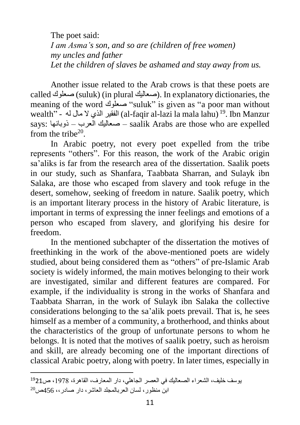The poet said: *I am Asma's son, and so are (children of free women) my uncles and father Let the children of slaves be ashamed and stay away from us.*

Another issue related to the Arab crows is that these poets are called صعلوك) (suluk) (in plural صعاليك). In explanatory dictionaries, the meaning of the word صعلوك" suluk" is given as "a poor man without wealth" - الفقير الذي لا مال لهM-faqir al-lazi la mala lahu) 19. Ibn Manzur says: ذوبانها – العرب صعاليك – saalik Arabs are those who are expelled from the tribe $20$ .

In Arabic poetry, not every poet expelled from the tribe represents "others". For this reason, the work of the Arabic origin sa'aliks is far from the research area of the dissertation. Saalik poets in our study, such as Shanfara, Taabbata Sharran, and Sulayk ibn Salaka, are those who escaped from slavery and took refuge in the desert, somehow, seeking of freedom in nature. Saalik poetry, which is an important literary process in the history of Arabic literature, is important in terms of expressing the inner feelings and emotions of a person who escaped from slavery, and glorifying his desire for freedom.

In the mentioned subchapter of the dissertation the motives of freethinking in the work of the above-mentioned poets are widely studied, about being considered them as "others" of pre-Islamic Arab society is widely informed, the main motives belonging to their work are investigated, similar and different features are compared. For example, if the individuality is strong in the works of Shanfara and Taabbata Sharran, in the work of Sulayk ibn Salaka the collective considerations belonging to the sa'alik poets prevail. That is, he sees himself as a member of a community, a brotherhood, and thinks about the characteristics of the group of unfortunate persons to whom he belongs. It is noted that the motives of saalik poetry, such as heroism and skill, are already becoming one of the important directions of classical Arabic poetry, along with poetry. In later times, especially in

يوسف خليف، الشعراء الصعاليك في العصر الجاهلي، دار المعارف، القاهرة، ،5931 ص<sup>19</sup>21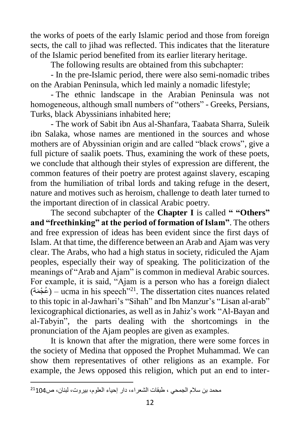the works of poets of the early Islamic period and those from foreign sects, the call to jihad was reflected. This indicates that the literature of the Islamic period benefited from its earlier literary heritage.

The following results are obtained from this subchapter:

- In the pre-Islamic period, there were also semi-nomadic tribes on the Arabian Peninsula, which led mainly a nomadic lifestyle;

- The ethnic landscape in the Arabian Peninsula was not homogeneous, although small numbers of "others" - Greeks, Persians, Turks, black Abyssinians inhabited here;

- The work of Sabit ibn Aus al-Shanfara, Taabata Sharra, Suleik ibn Salaka, whose names are mentioned in the sources and whose mothers are of Abyssinian origin and are called "black crows", give a full picture of saalik poets. Thus, examining the work of these poets, we conclude that although their styles of expression are different, the common features of their poetry are protest against slavery, escaping from the humiliation of tribal lords and taking refuge in the desert, nature and motives such as heroism, challenge to death later turned to the important direction of in classical Arabic poetry.

The second subchapter of the **Chapter I** is called **" "Others" and "freethinking" at the period of formation of Islam"**. The others and free expression of ideas has been evident since the first days of Islam. At that time, the difference between an Arab and Ajam was very clear. The Arabs, who had a high status in society, ridiculed the Ajam peoples, especially their way of speaking. The politicization of the meanings of "Arab and Ajam" is common in medieval Arabic sources. For example, it is said, "Ajam is a person who has a foreign dialect (عُجْمَة) – ucma in his speech"<sup>21</sup>. The dissertation cites nuances related to this topic in al-Jawhari's "Sihah" and Ibn Manzur's "Lisan al-arab" lexicographical dictionaries, as well as in Jahiz's work "Al-Bayan and al-Tabyin", the parts dealing with the shortcomings in the pronunciation of the Ajam peoples are given as examples.

It is known that after the migration, there were some forces in the society of Medina that opposed the Prophet Muhammad. We can show them representatives of other religions as an example. For example, the Jews opposed this religion, which put an end to inter-

محمد بن سالم الجمحي ، طبقات الشعراء، دار إحياء العلوم، بيروت، لبنان، ص<sup>21</sup>104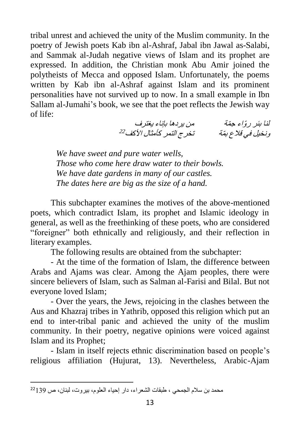tribal unrest and achieved the unity of the Muslim community. In the poetry of Jewish poets Kab ibn al-Ashraf, Jabal ibn Jawal as-Salabi, and Sammak al-Judah negative views of Islam and its prophet are expressed. In addition, the Christian monk Abu Amir joined the polytheists of Mecca and opposed Islam. Unfortunately, the poems written by Kab ibn al-Ashraf against Islam and its prominent personalities have not survived up to now. In a small example in Ibn Sallam al-Jumahi's book, we see that the poet reflects the Jewish way of life:

لنا بئر روّاء جمّة من من يردها بإناء يغترف ونخيل في قلاع بمّة سمتخترج التمر كأمثال الأكف<sup>22</sup>

*We have sweet and pure water wells, Those who come here draw water to their bowls. We have date gardens in many of our castles. The dates here are big as the size of a hand.*

This subchapter examines the motives of the above-mentioned poets, which contradict Islam, its prophet and Islamic ideology in general, as well as the freethinking of these poets, who are considered "foreigner" both ethnically and religiously, and their reflection in literary examples.

The following results are obtained from the subchapter:

- At the time of the formation of Islam, the difference between Arabs and Ajams was clear. Among the Ajam peoples, there were sincere believers of Islam, such as Salman al-Farisi and Bilal. But not everyone loved Islam;

- Over the years, the Jews, rejoicing in the clashes between the Aus and Khazraj tribes in Yathrib, opposed this religion which put an end to inter-tribal panic and achieved the unity of the muslim community. In their poetry, negative opinions were voiced against Islam and its Prophet;

- Islam in itself rejects ethnic discrimination based on people's religious affiliation (Hujurat, 13). Nevertheless, Arabic-Ajam

محمد بن سلام الجمحي ، طبقات الشعراء، دار إحياء العلوم، بيروت، لبنان، ص 22139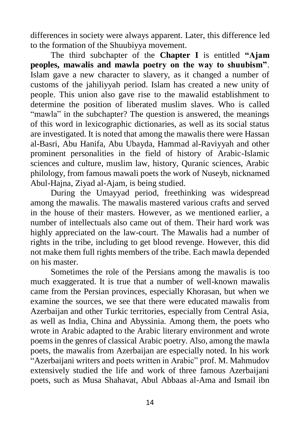differences in society were always apparent. Later, this difference led to the formation of the Shuubiyya movement.

The third subchapter of the **Chapter I** is entitled **"Ajam peoples, mawalis and mawla poetry on the way to shuubism"**. Islam gave a new character to slavery, as it changed a number of customs of the jahiliyyah period. Islam has created a new unity of people. This union also gave rise to the mawalid establishment to determine the position of liberated muslim slaves. Who is called "mawla" in the subchapter? The question is answered, the meanings of this word in lexicographic dictionaries, as well as its social status are investigated. It is noted that among the mawalis there were Hassan al-Basri, Abu Hanifa, Abu Ubayda, Hammad al-Raviyyah and other prominent personalities in the field of history of Arabic-Islamic sciences and culture, muslim law, history, Quranic sciences, Arabic philology, from famous mawali poets the work of Nuseyb, nicknamed Abul-Hajna, Ziyad al-Ajam, is being studied.

During the Umayyad period, freethinking was widespread among the mawalis. The mawalis mastered various crafts and served in the house of their masters. However, as we mentioned earlier, a number of intellectuals also came out of them. Their hard work was highly appreciated on the law-court. The Mawalis had a number of rights in the tribe, including to get blood revenge. However, this did not make them full rights members of the tribe. Each mawla depended on his master.

Sometimes the role of the Persians among the mawalis is too much exaggerated. It is true that a number of well-known mawalis came from the Persian provinces, especially Khorasan, but when we examine the sources, we see that there were educated mawalis from Azerbaijan and other Turkic territories, especially from Central Asia, as well as India, China and Abyssinia. Among them, the poets who wrote in Arabic adapted to the Arabic literary environment and wrote poems in the genres of classical Arabic poetry. Also, among the mawla poets, the mawalis from Azerbaijan are especially noted. In his work "Azerbaijani writers and poets written in Arabic" prof. M. Mahmudov extensively studied the life and work of three famous Azerbaijani poets, such as Musa Shahavat, Abul Abbaas al-Ama and Ismail ibn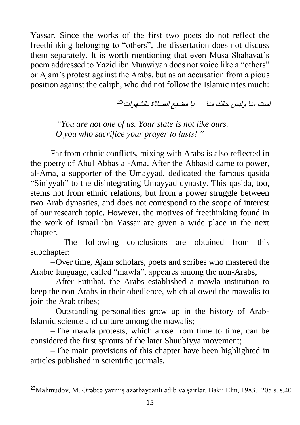Yassar. Since the works of the first two poets do not reflect the freethinking belonging to "others", the dissertation does not discuss them separately. It is worth mentioning that even Musa Shahavat's poem addressed to Yazid ibn Muawiyah does not voice like a "others" or Ajam's protest against the Arabs, but as an accusation from a pious position against the caliph, who did not follow the Islamic rites much:

لست منا وليس حالك منا يا مضيع الصالة بالشهوات 23

*"You are not one of us. Your state is not like ours. O you who sacrifice your prayer to lusts! "*

Far from ethnic conflicts, mixing with Arabs is also reflected in the poetry of Abul Abbas al-Ama. After the Abbasid came to power, al-Ama, a supporter of the Umayyad, dedicated the famous qasida "Siniyyah" to the disintegrating Umayyad dynasty. This qasida, too, stems not from ethnic relations, but from a power struggle between two Arab dynasties, and does not correspond to the scope of interest of our research topic. However, the motives of freethinking found in the work of Ismail ibn Yassar are given a wide place in the next chapter.

 The following conclusions are obtained from this subchapter:

–Over time, Ajam scholars, poets and scribes who mastered the Arabic language, called "mawla", appeares among the non-Arabs;

–After Futuhat, the Arabs established a mawla institution to keep the non-Arabs in their obedience, which allowed the mawalis to join the Arab tribes;

–Outstanding personalities grow up in the history of Arab-Islamic science and culture among the mawalis;

–The mawla protests, which arose from time to time, can be considered the first sprouts of the later Shuubiyya movement;

–The main provisions of this chapter have been highlighted in articles published in scientific journals.

<sup>&</sup>lt;sup>23</sup>Mahmudov, M. Ərəbcə yazmış azərbaycanlı ədib və şairlər. Bakı: Elm, 1983. 205 s. s.40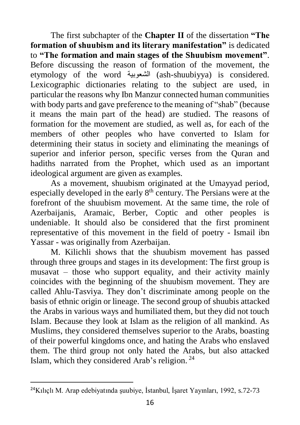The first subchapter of the **Chapter II** of the dissertation **"The formation of shuubism and its literary manifestation"** is dedicated to **"The formation and main stages of the Shuubism movement"**. Before discussing the reason of formation of the movement, the etymology of the word الشعوبية) ash-shuubiyya) is considered. Lexicographic dictionaries relating to the subject are used, in particular the reasons why Ibn Manzur connected human communities with body parts and gave preference to the meaning of "shab" (because it means the main part of the head) are studied. The reasons of formation for the movement are studied, as well as, for each of the members of other peoples who have converted to Islam for determining their status in society and eliminating the meanings of superior and inferior person, specific verses from the Quran and hadiths narrated from the Prophet, which used as an important ideological argument are given as examples.

As a movement, shuubism originated at the Umayyad period, especially developed in the early 8<sup>th</sup> century. The Persians were at the forefront of the shuubism movement. At the same time, the role of Azerbaijanis, Aramaic, Berber, Coptic and other peoples is undeniable. It should also be considered that the first prominent representative of this movement in the field of poetry - Ismail ibn Yassar - was originally from Azerbaijan.

M. Kilichli shows that the shuubism movement has passed through three groups and stages in its development: The first group is musavat – those who support equality, and their activity mainly coincides with the beginning of the shuubism movement. They are called Ahlu-Tasviya. They don't discriminate among people on the basis of ethnic origin or lineage. The second group of shuubis attacked the Arabs in various ways and humiliated them, but they did not touch Islam. Because they look at Islam as the religion of all mankind. As Muslims, they considered themselves superior to the Arabs, boasting of their powerful kingdoms once, and hating the Arabs who enslaved them. The third group not only hated the Arabs, but also attacked Islam, which they considered Arab's religion. <sup>24</sup>

<sup>24</sup>Kılıçlı M. Arap edebiyatında şuubiye, İstanbul, İşaret Yayınları, 1992, s.72-73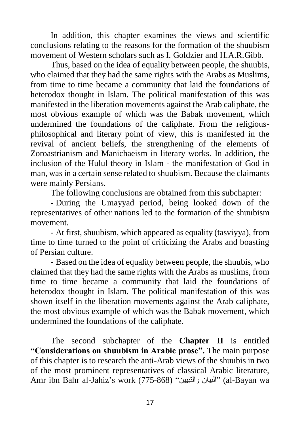In addition, this chapter examines the views and scientific conclusions relating to the reasons for the formation of the shuubism movement of Western scholars such as I. Goldzier and H.A.R.Gibb.

Thus, based on the idea of equality between people, the shuubis, who claimed that they had the same rights with the Arabs as Muslims, from time to time became a community that laid the foundations of heterodox thought in Islam. The political manifestation of this was manifested in the liberation movements against the Arab caliphate, the most obvious example of which was the Babak movement, which undermined the foundations of the caliphate. From the religiousphilosophical and literary point of view, this is manifested in the revival of ancient beliefs, the strengthening of the elements of Zoroastrianism and Manichaeism in literary works. In addition, the inclusion of the Hulul theory in Islam - the manifestation of God in man, was in a certain sense related to shuubism. Because the claimants were mainly Persians.

The following conclusions are obtained from this subchapter:

- During the Umayyad period, being looked down of the representatives of other nations led to the formation of the shuubism movement.

- At first, shuubism, which appeared as equality (tasviyya), from time to time turned to the point of criticizing the Arabs and boasting of Persian culture.

- Based on the idea of equality between people, the shuubis, who claimed that they had the same rights with the Arabs as muslims, from time to time became a community that laid the foundations of heterodox thought in Islam. The political manifestation of this was shown itself in the liberation movements against the Arab caliphate, the most obvious example of which was the Babak movement, which undermined the foundations of the caliphate.

The second subchapter of the **Chapter II** is entitled **"Considerations on shuubism in Arabic prose".** The main purpose of this chapter is to research the anti-Arab views of the shuubis in two of the most prominent representatives of classical Arabic literature, Amr ibn Bahr al-Jahiz's work (775-868) "والتبيين البيان) "al-Bayan wa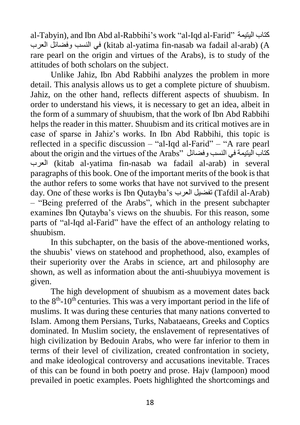al-Tabyin), and Ibn Abd al-Rabbihi's work "al-Iqd al-Farid" اليتيمة كتاب العرب وفضائل النسب في) kitab al-yatima fin-nasab wa fadail al-arab) (A rare pearl on the origin and virtues of the Arabs), is to study of the attitudes of both scholars on the subject.

Unlike Jahiz, Ibn Abd Rabbihi analyzes the problem in more detail. This analysis allows us to get a complete picture of shuubism. Jahiz, on the other hand, reflects different aspects of shuubism. In order to understand his views, it is necessary to get an idea, albeit in the form of a summary of shuubism, that the work of Ibn Abd Rabbihi helps the reader in this matter. Shuubism and its critical motives are in case of sparse in Jahiz's works. In Ibn Abd Rabbihi, this topic is reflected in a specific discussion – "al-Iqd al-Farid" – "A rare pearl about the origin and the virtues of the Arabs" كتاب البنيمة في النسب وفضائل ا العرب) kitab al-yatima fin-nasab wa fadail al-arab) in several paragraphs of this book. One of the important merits of the book is that the author refers to some works that have not survived to the present day. One of these works is Ibn Qutayba's العرب تفضيل) Tafdil al-Arab) – "Being preferred of the Arabs", which in the present subchapter examines Ibn Qutayba's views on the shuubis. For this reason, some parts of "al-Iqd al-Farid" have the effect of an anthology relating to shuubism.

In this subchapter, on the basis of the above-mentioned works, the shuubis' views on statehood and prophethood, also, examples of their superiority over the Arabs in science, art and philosophy are shown, as well as information about the anti-shuubiyya movement is given.

The high development of shuubism as a movement dates back to the  $8<sup>th</sup>$ -10<sup>th</sup> centuries. This was a very important period in the life of muslims. It was during these centuries that many nations converted to Islam. Among them Persians, Turks, Nabataeans, Greeks and Coptics dominated. In Muslim society, the enslavement of representatives of high civilization by Bedouin Arabs, who were far inferior to them in terms of their level of civilization, created confrontation in society, and make ideological controversy and accusations inevitable. Traces of this can be found in both poetry and prose. Hajv (lampoon) mood prevailed in poetic examples. Poets highlighted the shortcomings and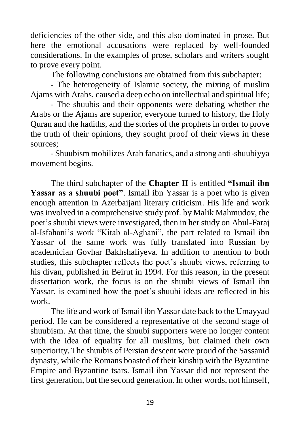deficiencies of the other side, and this also dominated in prose. But here the emotional accusations were replaced by well-founded considerations. In the examples of prose, scholars and writers sought to prove every point.

The following conclusions are obtained from this subchapter:

- The heterogeneity of Islamic society, the mixing of muslim Ajams with Arabs, caused a deep echo on intellectual and spiritual life;

- The shuubis and their opponents were debating whether the Arabs or the Ajams are superior, everyone turned to history, the Holy Quran and the hadiths, and the stories of the prophets in order to prove the truth of their opinions, they sought proof of their views in these sources;

- Shuubism mobilizes Arab fanatics, and a strong anti-shuubiyya movement begins.

The third subchapter of the **Chapter II** is entitled **"Ismail ibn**  Yassar as a shuubi poet". Ismail ibn Yassar is a poet who is given enough attention in Azerbaijani literary criticism. His life and work was involved in a comprehensive study prof. by Malik Mahmudov, the poet's shuubi views were investigated, then in her study on Abul-Faraj al-Isfahani's work "Kitab al-Aghani", the part related to Ismail ibn Yassar of the same work was fully translated into Russian by academician Govhar Bakhshaliyeva. In addition to mention to both studies, this subchapter reflects the poet's shuubi views, referring to his divan, published in Beirut in 1994. For this reason, in the present dissertation work, the focus is on the shuubi views of Ismail ibn Yassar, is examined how the poet's shuubi ideas are reflected in his work.

The life and work of Ismail ibn Yassar date back to the Umayyad period. He can be considered a representative of the second stage of shuubism. At that time, the shuubi supporters were no longer content with the idea of equality for all muslims, but claimed their own superiority. The shuubis of Persian descent were proud of the Sassanid dynasty, while the Romans boasted of their kinship with the Byzantine Empire and Byzantine tsars. Ismail ibn Yassar did not represent the first generation, but the second generation. In other words, not himself,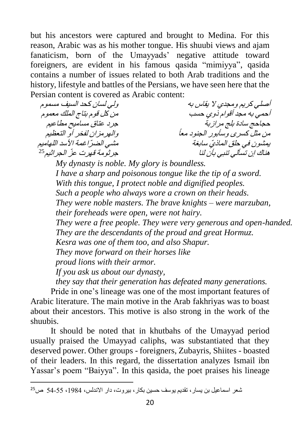but his ancestors were captured and brought to Medina. For this reason, Arabic was as his mother tongue. His shuubi views and ajam fanaticism, born of the Umayyads' negative attitude toward foreigners, are evident in his famous qasida "mimiyya", qasida contains a number of issues related to both Arab traditions and the history, lifestyle and battles of the Persians, we have seen here that the Persian content is covered as Arabic content:

أصلي كريم ومجدي ال يقاس به ولي لسان كحد السيف مسموم أحمي به مجد أقوام ذوي حسب من كل قوم بتاج الملك معموم حجاحج سادة بلج مرازبة جرد عتاق مساميح مطاعيم من مثل كسرى وسأبور الجنود معا والهرمزان لفخر أو التعظيم يمشون في حلق الماذ ّي سابغة مشي الض ّراغمة األسد اللهاميم هناك إن تسألي تنبي بأن لنا جرثومة قهرت <sup>ع</sup> ّز الجراثيم 25

*My dynasty is noble. My glory is boundless. I have a sharp and poisonous tongue like the tip of a sword. With this tongue, I protect noble and dignified peoples. Such a people who always wore a crown on their heads. They were noble masters. The brave knights – were marzuban, their foreheads were open, were not hairy. They were a free people. They were very generous and open-handed. They are the descendants of the proud and great Hormuz. Kesra was one of them too, and also Shapur. They move forward on their horses like proud lions with their armor. If you ask us about our dynasty,*

*they say that their generation has defeated many generations.*

Pride in one's lineage was one of the most important features of Arabic literature. The main motive in the Arab fakhriyas was to boast about their ancestors. This motive is also strong in the work of the shuubis.

It should be noted that in khutbahs of the Umayyad period usually praised the Umayyad caliphs, was substantiated that they deserved power. Other groups - foreigners, Zubayris, Shiites - boasted of their leaders. In this regard, the dissertation analyzes Ismail ibn Yassar's poem "Baiyya". In this qasida, the poet praises his lineage

 $\overline{a}$ شعر اسماعيل بن يسار، تقديم يوسف حسين بكار، بيروت، دار االندلس، ،5914 14-11 ص<sup>25</sup>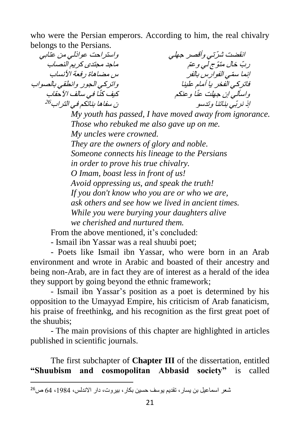who were the Persian emperors. According to him, the real chivalry belongs to the Persians.

انقضت شرتبي وأقصر جهلي انقضت شرّتي وأقصر جهلي واستراحت عواذلي من عتابي<br>ربّ خال متوّ ج لي و عمّ ماجد مجتدى كريم النصاب<br>س مضاهاة رقعة الأنساب إنما <sup>س</sup> ّمي الفوارس بالفر س مضاهاة رفعة األنساب فاتركي الفخر يا أمام علينا ا وعنكم واسألي إن جهلت عن كيف كّ نا في سالف اآلحقاب ّ إذ نرّبي بناتنا وتدسو ن سفاها بناتكم في التراب 26

> *My youth has passed, I have moved away from ignorance. Those who rebuked me also gave up on me. My uncles were crowned. They are the owners of glory and noble. Someone connects his lineage to the Persians in order to prove his true chivalry. O Imam, boast less in front of us! Avoid oppressing us, and speak the truth! If you don't know who you are or who we are, ask others and see how we lived in ancient times. While you were burying your daughters alive we cherished and nurtured them.*

From the above mentioned, it's concluded:

- Ismail ibn Yassar was a real shuubi poet;

- Poets like Ismail ibn Yassar, who were born in an Arab environment and wrote in Arabic and boasted of their ancestry and being non-Arab, are in fact they are of interest as a herald of the idea they support by going beyond the ethnic framework;

- Ismail ibn Yassar's position as a poet is determined by his opposition to the Umayyad Empire, his criticism of Arab fanaticism, his praise of freethinkg, and his recognition as the first great poet of the shuubis;

- The main provisions of this chapter are highlighted in articles published in scientific journals.

The first subchapter of **Chapter III** of the dissertation, entitled **"Shuubism and cosmopolitan Abbasid society"** is called

شعر اسماعيل بن يسار، تقديم يوسف حسين بكار، بيروت، دار االندلس، ،5914 34 ص<sup>26</sup>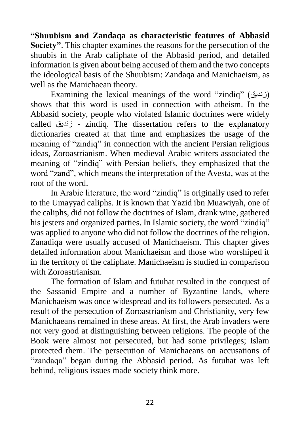**"Shuubism and Zandaqa as characteristic features of Abbasid Society"**. This chapter examines the reasons for the persecution of the shuubis in the Arab caliphate of the Abbasid period, and detailed information is given about being accused of them and the two concepts the ideological basis of the Shuubism: Zandaqa and Manichaeism, as well as the Manichaean theory.

Examining the lexical meanings of the word "zindiq" (زنديق) shows that this word is used in connection with atheism. In the Abbasid society, people who violated Islamic doctrines were widely called زنديق - zindiq. The dissertation refers to the explanatory dictionaries created at that time and emphasizes the usage of the meaning of "zindiq" in connection with the ancient Persian religious ideas, Zoroastrianism. When medieval Arabic writers associated the meaning of "zindiq" with Persian beliefs, they emphasized that the word "zand", which means the interpretation of the Avesta, was at the root of the word.

In Arabic literature, the word "zindiq" is originally used to refer to the Umayyad caliphs. It is known that Yazid ibn Muawiyah, one of the caliphs, did not follow the doctrines of Islam, drank wine, gathered his jesters and organized parties. In Islamic society, the word "zindiq" was applied to anyone who did not follow the doctrines of the religion. Zanadiqa were usually accused of Manichaeism. This chapter gives detailed information about Manichaeism and those who worshiped it in the territory of the caliphate. Manichaeism is studied in comparison with Zoroastrianism.

The formation of Islam and futuhat resulted in the conquest of the Sassanid Empire and a number of Byzantine lands, where Manichaeism was once widespread and its followers persecuted. As a result of the persecution of Zoroastrianism and Christianity, very few Manichaeans remained in these areas. At first, the Arab invaders were not very good at distinguishing between religions. The people of the Book were almost not persecuted, but had some privileges; Islam protected them. The persecution of Manichaeans on accusations of "zandaqa" began during the Abbasid period. As futuhat was left behind, religious issues made society think more.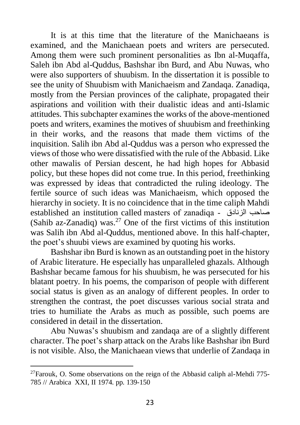It is at this time that the literature of the Manichaeans is examined, and the Manichaean poets and writers are persecuted. Among them were such prominent personalities as Ibn al-Muqaffa, Saleh ibn Abd al-Quddus, Bashshar ibn Burd, and Abu Nuwas, who were also supporters of shuubism. In the dissertation it is possible to see the unity of Shuubism with Manichaeism and Zandaqa. Zanadiqa, mostly from the Persian provinces of the caliphate, propagated their aspirations and voilition with their dualistic ideas and anti-Islamic attitudes. This subchapter examines the works of the above-mentioned poets and writers, examines the motives of shuubism and freethinking in their works, and the reasons that made them victims of the inquisition. Salih ibn Abd al-Quddus was a person who expressed the views of those who were dissatisfied with the rule of the Abbasid. Like other mawalis of Persian descent, he had high hopes for Abbasid policy, but these hopes did not come true. In this period, freethinking was expressed by ideas that contradicted the ruling ideology. The fertile source of such ideas was Manichaeism, which opposed the hierarchy in society. It is no coincidence that in the time caliph Mahdi established an institution called masters of zanadiga - صاحب الزنادق -(Sahib az-Zanadiq) was.<sup>27</sup> One of the first victims of this institution was Salih ibn Abd al-Quddus, mentioned above. In this half-chapter, the poet's shuubi views are examined by quoting his works.

Bashshar ibn Burd is known as an outstanding poet in the history of Arabic literature. He especially has unparalleled ghazals. Although Bashshar became famous for his shuubism, he was persecuted for his blatant poetry. In his poems, the comparison of people with different social status is given as an analogy of different peoples. In order to strengthen the contrast, the poet discusses various social strata and tries to humiliate the Arabs as much as possible, such poems are considered in detail in the dissertation.

Abu Nuwas's shuubism and zandaqa are of a slightly different character. The poet's sharp attack on the Arabs like Bashshar ibn Burd is not visible. Also, the Manichaean views that underlie of Zandaqa in

<sup>&</sup>lt;sup>27</sup>Farouk, O. Some observations on the reign of the Abbasid caliph al-Mehdi 775-785 // Arabica XXI, II 1974. pp. 139-150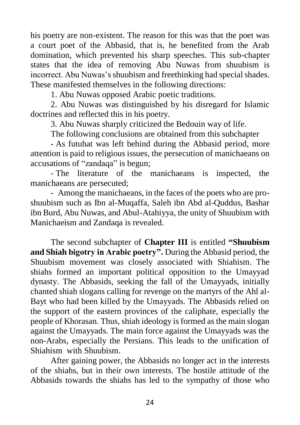his poetry are non-existent. The reason for this was that the poet was a court poet of the Abbasid, that is, he benefited from the Arab domination, which prevented his sharp speeches. This sub-chapter states that the idea of removing Abu Nuwas from shuubism is incorrect. Abu Nuwas's shuubism and freethinking had special shades. These manifested themselves in the following directions:

1. Abu Nuwas opposed Arabic poetic traditions.

2. Abu Nuwas was distinguished by his disregard for Islamic doctrines and reflected this in his poetry.

3. Abu Nuwas sharply criticized the Bedouin way of life.

The following conclusions are obtained from this subchapter

- As futuhat was left behind during the Abbasid period, more attention is paid to religious issues, the persecution of manichaeans on accusations of "zandaqa" is begun;

- The literature of the manichaeans is inspected, the manichaeans are persecuted;

- Among the manichaeans, in the faces of the poets who are proshuubism such as Ibn al-Muqaffa, Saleh ibn Abd al-Quddus, Bashar ibn Burd, Abu Nuwas, and Abul-Atahiyya, the unity of Shuubism with Manichaeism and Zandaqa is revealed.

The second subchapter of **Chapter III** is entitled **"Shuubism and Shiah bigotry in Arabic poetry".** During the Abbasid period, the Shuubism movement was closely associated with Shiahism. The shiahs formed an important political opposition to the Umayyad dynasty. The Abbasids, seeking the fall of the Umayyads, initially chanted shiah slogans calling for revenge on the martyrs of the Ahl al-Bayt who had been killed by the Umayyads. The Abbasids relied on the support of the eastern provinces of the caliphate, especially the people of Khorasan. Thus, shiah ideology is formed as the main slogan against the Umayyads. The main force against the Umayyads was the non-Arabs, especially the Persians. This leads to the unification of Shiahism with Shuubism.

After gaining power, the Abbasids no longer act in the interests of the shiahs, but in their own interests. The hostile attitude of the Abbasids towards the shiahs has led to the sympathy of those who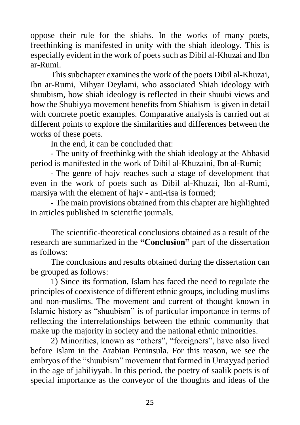oppose their rule for the shiahs. In the works of many poets, freethinking is manifested in unity with the shiah ideology. This is especially evident in the work of poets such as Dibil al-Khuzai and Ibn ar-Rumi.

This subchapter examines the work of the poets Dibil al-Khuzai, Ibn ar-Rumi, Mihyar Deylami, who associated Shiah ideology with shuubism, how shiah ideology is reflected in their shuubi views and how the Shubiyya movement benefits from Shiahism is given in detail with concrete poetic examples. Comparative analysis is carried out at different points to explore the similarities and differences between the works of these poets.

In the end, it can be concluded that:

- The unity of freethinkg with the shiah ideology at the Abbasid period is manifested in the work of Dibil al-Khuzaini, Ibn al-Rumi;

- The genre of hajv reaches such a stage of development that even in the work of poets such as Dibil al-Khuzai, Ibn al-Rumi, marsiya with the element of hajv - anti-risa is formed;

- The main provisions obtained from this chapter are highlighted in articles published in scientific journals.

The scientific-theoretical conclusions obtained as a result of the research are summarized in the **"Conclusion"** part of the dissertation as follows:

The conclusions and results obtained during the dissertation can be grouped as follows:

1) Since its formation, Islam has faced the need to regulate the principles of coexistence of different ethnic groups, including muslims and non-muslims. The movement and current of thought known in Islamic history as "shuubism" is of particular importance in terms of reflecting the interrelationships between the ethnic community that make up the majority in society and the national ethnic minorities.

2) Minorities, known as "others", "foreigners", have also lived before Islam in the Arabian Peninsula. For this reason, we see the embryos of the "shuubism" movement that formed in Umayyad period in the age of jahiliyyah. In this period, the poetry of saalik poets is of special importance as the conveyor of the thoughts and ideas of the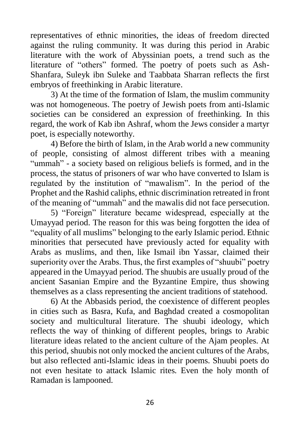representatives of ethnic minorities, the ideas of freedom directed against the ruling community. It was during this period in Arabic literature with the work of Abyssinian poets, a trend such as the literature of "others" formed. The poetry of poets such as Ash-Shanfara, Suleyk ibn Suleke and Taabbata Sharran reflects the first embryos of freethinking in Arabic literature.

3) At the time of the formation of Islam, the muslim community was not homogeneous. The poetry of Jewish poets from anti-Islamic societies can be considered an expression of freethinking. In this regard, the work of Kab ibn Ashraf, whom the Jews consider a martyr poet, is especially noteworthy.

4) Before the birth of Islam, in the Arab world a new community of people, consisting of almost different tribes with a meaning "ummah" - a society based on religious beliefs is formed, and in the process, the status of prisoners of war who have converted to Islam is regulated by the institution of "mawalism". In the period of the Prophet and the Rashid caliphs, ethnic discrimination retreated in front of the meaning of "ummah" and the mawalis did not face persecution.

5) "Foreign" literature became widespread, especially at the Umayyad period. The reason for this was being forgotten the idea of "equality of all muslims" belonging to the early Islamic period. Ethnic minorities that persecuted have previously acted for equality with Arabs as muslims, and then, like Ismail ibn Yassar, claimed their superiority over the Arabs. Thus, the first examples of "shuubi" poetry appeared in the Umayyad period. The shuubis are usually proud of the ancient Sasanian Empire and the Byzantine Empire, thus showing themselves as a class representing the ancient traditions of statehood.

6) At the Abbasids period, the coexistence of different peoples in cities such as Basra, Kufa, and Baghdad created a cosmopolitan society and multicultural literature. The shuubi ideology, which reflects the way of thinking of different peoples, brings to Arabic literature ideas related to the ancient culture of the Ajam peoples. At this period, shuubis not only mocked the ancient cultures of the Arabs, but also reflected anti-Islamic ideas in their poems. Shuubi poets do not even hesitate to attack Islamic rites. Even the holy month of Ramadan is lampooned.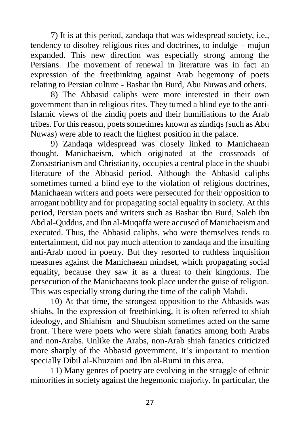7) It is at this period, zandaqa that was widespread society, i.e., tendency to disobey religious rites and doctrines, to indulge – mujun expanded. This new direction was especially strong among the Persians. The movement of renewal in literature was in fact an expression of the freethinking against Arab hegemony of poets relating to Persian culture - Bashar ibn Burd, Abu Nuwas and others.

8) The Abbasid caliphs were more interested in their own government than in religious rites. They turned a blind eye to the anti-Islamic views of the zindiq poets and their humiliations to the Arab tribes. For this reason, poets sometimes known as zindiqs (such as Abu Nuwas) were able to reach the highest position in the palace.

9) Zandaqa widespread was closely linked to Manichaean thought. Manichaeism, which originated at the crossroads of Zoroastrianism and Christianity, occupies a central place in the shuubi literature of the Abbasid period. Although the Abbasid caliphs sometimes turned a blind eye to the violation of religious doctrines, Manichaean writers and poets were persecuted for their opposition to arrogant nobility and for propagating social equality in society. At this period, Persian poets and writers such as Bashar ibn Burd, Saleh ibn Abd al-Quddus, and Ibn al-Muqaffa were accused of Manichaeism and executed. Thus, the Abbasid caliphs, who were themselves tends to entertainment, did not pay much attention to zandaqa and the insulting anti-Arab mood in poetry. But they resorted to ruthless inquisition measures against the Manichaean mindset, which propagating social equality, because they saw it as a threat to their kingdoms. The persecution of the Manichaeans took place under the guise of religion. This was especially strong during the time of the caliph Mahdi.

10) At that time, the strongest opposition to the Abbasids was shiahs. In the expression of freethinking, it is often referred to shiah ideology, and Shiahism and Shuubism sometimes acted on the same front. There were poets who were shiah fanatics among both Arabs and non-Arabs. Unlike the Arabs, non-Arab shiah fanatics criticized more sharply of the Abbasid government. It's important to mention specially Dibil al-Khuzaini and Ibn al-Rumi in this area.

11) Many genres of poetry are evolving in the struggle of ethnic minorities in society against the hegemonic majority. In particular, the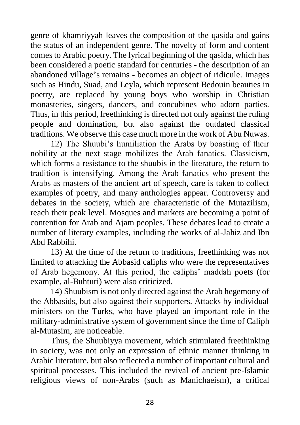genre of khamriyyah leaves the composition of the qasida and gains the status of an independent genre. The novelty of form and content comes to Arabic poetry. The lyrical beginning of the qasida, which has been considered a poetic standard for centuries - the description of an abandoned village's remains - becomes an object of ridicule. Images such as Hindu, Suad, and Leyla, which represent Bedouin beauties in poetry, are replaced by young boys who worship in Christian monasteries, singers, dancers, and concubines who adorn parties. Thus, in this period, freethinking is directed not only against the ruling people and domination, but also against the outdated classical traditions. We observe this case much more in the work of Abu Nuwas.

12) The Shuubi's humiliation the Arabs by boasting of their nobility at the next stage mobilizes the Arab fanatics. Classicism, which forms a resistance to the shuubis in the literature, the return to tradition is intensifying. Among the Arab fanatics who present the Arabs as masters of the ancient art of speech, care is taken to collect examples of poetry, and many anthologies appear. Controversy and debates in the society, which are characteristic of the Mutazilism, reach their peak level. Mosques and markets are becoming a point of contention for Arab and Ajam peoples. These debates lead to create a number of literary examples, including the works of al-Jahiz and Ibn Abd Rabbihi.

13) At the time of the return to traditions, freethinking was not limited to attacking the Abbasid caliphs who were the representatives of Arab hegemony. At this period, the caliphs' maddah poets (for example, al-Buhturi) were also criticized.

14) Shuubism is not only directed against the Arab hegemony of the Abbasids, but also against their supporters. Attacks by individual ministers on the Turks, who have played an important role in the military-administrative system of government since the time of Caliph al-Mutasim, are noticeable.

Thus, the Shuubiyya movement, which stimulated freethinking in society, was not only an expression of ethnic manner thinking in Arabic literature, but also reflected a number of important cultural and spiritual processes. This included the revival of ancient pre-Islamic religious views of non-Arabs (such as Manichaeism), a critical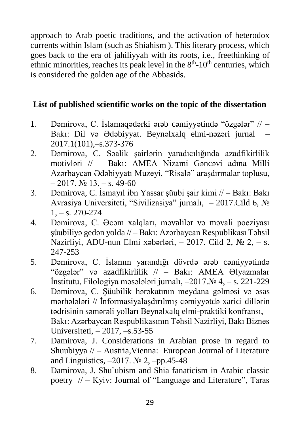approach to Arab poetic traditions, and the activation of heterodox currents within Islam (such as Shiahism ). This literary process, which goes back to the era of jahiliyyah with its roots, i.e., freethinking of ethnic minorities, reaches its peak level in the  $8<sup>th</sup>$ -10<sup>th</sup> centuries, which is considered the golden age of the Abbasids.

## **List of published scientific works on the topic of the dissertation**

- 1. Dəmirova, C. İslamaqədərki ərəb cəmiyyətində "özgələr" // Bakı: Dil və Ədəbiyyat. Beynəlxalq elmi-nəzəri jurnal – 2017.1(101),–s.373-376
- 2. Dəmirova, C. Səalik şairlərin yaradıcılığında azadfikirlilik motivləri // – Bakı: AMEA Nizami Gəncəvi adına Milli Azərbaycan Ədəbiyyatı Muzeyi, "Risalə" araşdırmalar toplusu,  $-2017$ .  $\text{Ne } 13$ ,  $-$  s. 49-60
- 3. Dəmirova, C. İsmayıl ibn Yassar şüubi şair kimi // Bakı: Bakı Avrasiya Universiteti, "Sivilizasiya" jurnalı, – 2017.Cild 6, №  $1, -s$ , 270-274
- 4. Dəmirova, C. Əcəm xalqları, məvalilər və məvali poeziyası şüubiliyə gedən yolda // – Bakı: Azərbaycan Respublikası Təhsil Nazirliyi, ADU-nun Elmi xəbərləri, – 2017. Cild 2,  $\mathcal{N}_2$  2, – s. 247-253
- 5. Dəmirova, C. İslamın yarandığı dövrdə ərəb cəmiyyətində "özgələr" və azadfikirlilik // – Bakı: AMEA Əlyazmalar İnstitutu, Filologiya məsələləri jurnalı, –2017.№ 4, – s. 221-229
- 6. Dəmirova, C. Şüubilik hərəkatının meydana gəlməsi və əsas mərhələləri // İnformasiyalaşdırılmış cəmiyyətdə xarici dillərin tədrisinin səmərəli yolları Beynəlxalq elmi-praktiki konfransı, – Bakı: Azərbaycan Respublikasının Təhsil Nazirliyi, Bakı Biznes Universiteti, – 2017, –s.53-55
- 7. Damirova, J. Considerations in Arabian prose in regard to Shuubiyya // – Austria,Vienna: European Journal of Literature and Linguistics,  $-2017$ . No 2,  $-pp.45-48$
- 8. Damirova, J. Shu`ubism and Shia fanaticism in Arabic classic poetry  $\pi$  – Kyiv: Journal of "Language and Literature", Taras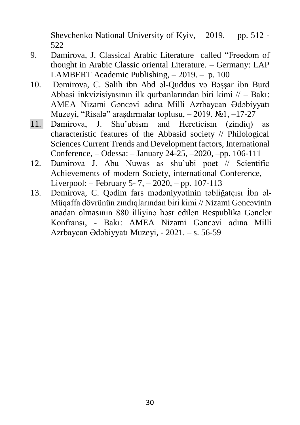Shevchenko National University of Kyiv, – 2019. – pp. 512 - 522

- 9. Damirova, J. Classical Arabic Literature called "Freedom of thought in Arabic Classic oriental Literature. – Germany: LAP LAMBERT Academic Publishing, – 2019. – p. 100
- 10. Dəmirova, C. Salih ibn Abd əl-Quddus və Bəşşar ibn Burd Abbasi inkvizisiyasının ilk qurbanlarından biri kimi // – Bakı: AMEA Nizami Gəncəvi adına Milli Azrbaycan Ədəbiyyatı Muzeyi, "Risalə" araşdırmalar toplusu, – 2019. №1, –17-27
- 11. Damirova, J. Shu'ubism and Hereticism (zindiq) as characteristic features of the Abbasid society // Philological Sciences Current Trends and Development factors, International Conference, – Odessa: – January 24-25, –2020, –pp. 106-111
- 12. Damirova J. Abu Nuwas as shu'ubi poet // Scientific Achievements of modern Society, international Conference, – Liverpool: – February 5- 7, – 2020, – pp. 107-113
- 13. Dəmirova, C. Qədim fars mədəniyyətinin təbliğatçısı İbn əl-Müqaffa dövrünün zındıqlarından biri kimi // Nizami Gəncəvinin anadan olmasının 880 illiyinə həsr edilən Respublika Gənclər Konfransı, - Bakı: AMEA Nizami Gəncəvi adına Milli Azrbaycan Ədəbiyyatı Muzeyi, - 2021. – s. 56-59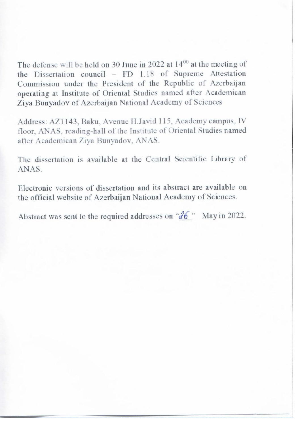The defense will be held on 30 June in 2022 at  $14^{00}$  at the meeting of the Dissertation council – FD 1.18 of Supreme Attestation Commission under the President of the Republic of Azerbaijan operating at Institute of Oriental Studies named after Academican Ziya Bunyadov of Azerbaijan National Academy of Sciences

Address: AZ1143, Baku, Avenue H.Javid 115, Academy campus, IV floor, ANAS, reading-hall of the Institute of Oriental Studies named after Academican Ziya Bunyadov, ANAS.

The dissertation is available at the Central Scientific Library of ANAS.

electronic versions of dissertation and no abstract are available on the official website of Azerbaijan National Academy of Sciences.

Abstract was sent to the required addresses on " $\mathcal{A}6$ " May in 2022.